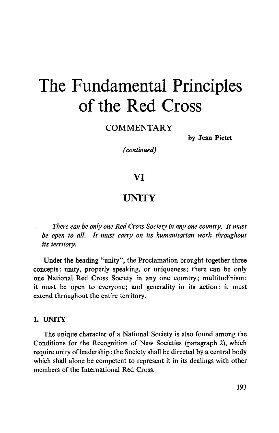# The Fundamental Principles of the Red Cross

COMMENTARY

by **Jean Pictet**

*(continued)*

### VI

## **UNITY**

*There can be only one Red Cross Society in any one country. It must be open to all. It must carry on its humanitarian work throughout its territory.*

Under the heading "unity", the Proclamation brought together three concepts: unity, properly speaking, or uniqueness: there can be only one National Red Cross Society in any one country; multitudinism: it must be open to everyone; and generality in its action: it must extend throughout the entire territory.

#### **1. UNITY**

The unique character of a National Society is also found among the Conditions for the Recognition of New Societies (paragraph 2), which require unity of leadership: the Society shall be directed by a central body which shall alone be competent to represent it in its dealings with other members of the International Red Cross.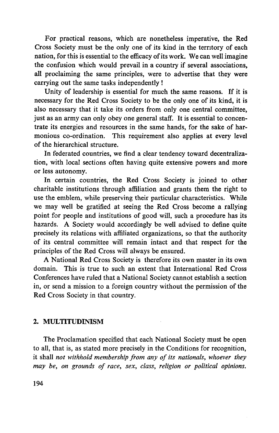For practical reasons, which are nonetheless imperative, the Red Cross Society must be the only one of its kind in the territory of each nation, for this is essential to the efficacy of its work. We can well imagine the confusion which would prevail in a country if several associations, all proclaiming the same principles, were to advertise that they were carrying out the same tasks independently !

Unity of leadership is essential for much the same reasons. If it is necessary for the Red Cross Society to be the only one of its kind, it is also necessary that it take its orders from only one central committee, just as an army can only obey one general staff. It is essential to concentrate its energies and resources in the same hands, for the sake of harmonious co-ordination. This requirement also applies at every level of the hierarchical structure.

In federated countries, we find a clear tendency toward decentralization, with local sections often having quite extensive powers and more or less autonomy.

In certain countries, the Red Cross Society is joined to other charitable institutions through affiliation and grants them the right to use the emblem, while preserving their particular characteristics. While we may well be gratified at seeing the Red Cross become a rallying point for people and institutions of good will, such a procedure has its hazards. A Society would accordingly be well advised to define quite precisely its relations with affiliated organizations, so that the authority of its central committee will remain intact and that respect for the principles of the Red Cross will always be ensured.

A National Red Cross Society is therefore its own master in its own domain. This is true to such an extent that International Red Cross Conferences have ruled that a National Society cannot establish a section in, or send a mission to a foreign country without the permission of the Red Cross Society in that country.

#### 2. MULTITUDINISM

The Proclamation specified that each National Society must be open to all, that is, as stated more precisely in the Conditions for recognition, it shall *not withhold membership from any of its nationals, whoever they may be, on grounds of race, sex, class, religion or political opinions.*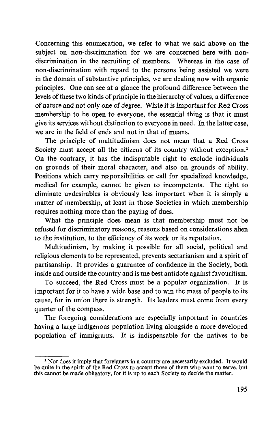Concerning this enumeration, we refer to what we said above on the subject on non-discrimination for we are concerned here with nondiscrimination in the recruiting of members. Whereas in the case of non-discrimination with regard to the persons being assisted we were in the domain of substantive principles, we are dealing now with organic principles. One can see at a glance the profound difference between the levels of these two kinds of principle in the hierarchy of values, a difference of nature and not only one of degree. While it is important for Red Cross membership to be open to everyone, the essential thing is that it must give its services without distinction to everyone in need. In the latter case, we are in the field of ends and not in that of means.

The principle of multitudinism does not mean that a Red Cross Society must accept all the citizens of its country without exception.<sup>1</sup> On the contrary, it has the indisputable right to exclude individuals on grounds of their moral character, and also on grounds of ability. Positions which carry responsibilities or call for specialized knowledge, medical for example, cannot be given to incompetents. The right to eliminate undesirables is obviously less important when it is simply a matter of membership, at least in those Societies in which membership requires nothing more than the paying of dues.

What the principle does mean is that membership must not be refused for discriminatory reasons, reasons based on considerations alien to the institution, to the efficiency of its work or its reputation.

Multitudinism, by making it possible for all social, political and religious elements to be represented, prevents sectarianism and a spirit of partisanship. It provides a guarantee of confidence in the Society, both inside and outside the country and is the best antidote against favouritism.

To succeed, the Red Cross must be a popular organization. It is important for it to have a wide base and to win the mass of people to its cause, for in union there is strength. Its leaders must come from every quarter of the compass.

The foregoing considerations are especially important in countries having a large indigenous population living alongside a more developed population of immigrants. It is indispensable for the natives to be

<sup>&</sup>lt;sup>1</sup> Nor does it imply that foreigners in a country are necessarily excluded. It would be quite in the spirit of the Red Cross to accept those of them who want to serve, but this cannot be made obligatory, for it is up to each Society to decide the matter.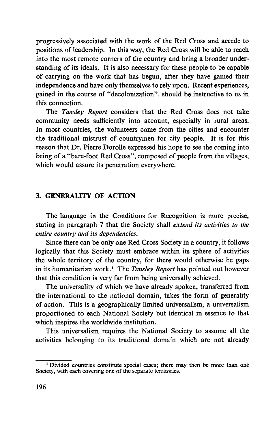progressively associated with the work of the Red Cross and accede to positions of leadership. In this way, the Red Cross will be able to reach into the most remote corners of the country and bring a broader understanding of its ideals. It is also necessary for these people to be capable of carrying on the work that has begun, after they have gained their independence and have only themselves to rely upon. Recent experiences, gained in the course of "decolonization", should be instructive to us in this connection.

The *Tansley Report* considers that the Red Cross does not take community needs sufficiently into account, especially in rural areas. In most countries, the volunteers come from the cities and encounter the traditional mistrust of countrymen for city people. It is for this reason that Dr. Pierre Dorolle expressed his hope to see the coming into being of a "bare-foot Red Cross", composed of people from the villages, which would assure its penetration everywhere.

#### **3. GENERALITY OF ACTION**

The language in the Conditions for Recognition is more precise, stating in paragraph 7 that the Society shall *extend its activities to the entire country and its dependencies.*

Since there can be only one Red Cross Society in a country, it follows logically that this Society must embrace within its sphere of activities the whole territory of the country, for there would otherwise be gaps in its humanitarian work.<sup>1</sup> The *Tansley Report* has pointed out however that this condition is very far from being universally achieved.

The universality of which we have already spoken, transferred from the international to the national domain, takes the form of generality of action. This is a geographically limited universalism, a universalism proportioned to each National Society but identical in essence to that which inspires the worldwide institution.

This universalism requires the National Society to assume all the activities belonging to its traditional domain which are not already

<sup>1</sup> Divided countries constitute special cases; there may then be more than one Society, with each covering one of the separate territories.